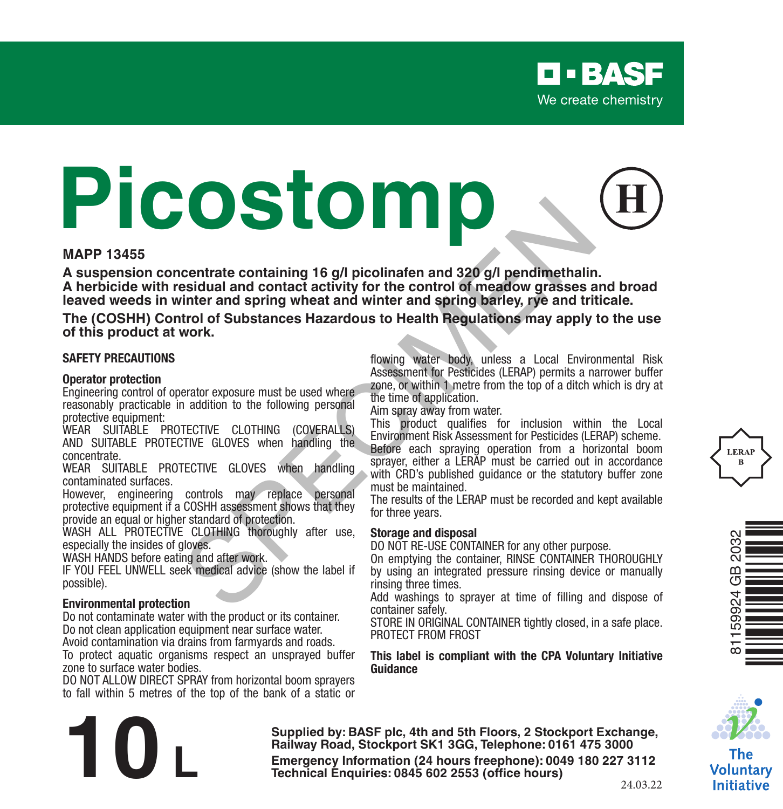# **Picostomp Example 15 g/l picolinafen and 320 g/l pendimethalits<br>
September and contact activity for the control of meadow grasses as<br>
that inter and spring wheat and winter and spring barley, rye and tri-<br>
throl of Substances Hazar**

### **MAPP 13455**

**A suspension concentrate containing 16 g/l picolinafen and 320 g/l pendimethalin. A herbicide with residual and contact activity for the control of meadow grasses and broad leaved weeds in winter and spring wheat and winter and spring barley, rye and triticale.**

**The (COSHH) Control of Substances Hazardous to Health Regulations may apply to the use of this product at work.**

### **SAFETY PRECAUTIONS**

### **Operator protection**

Engineering control of operator exposure must be used where reasonably practicable in addition to the following personal protective equipment:

WEAR SUITABLE PROTECTIVE CLOTHING (COVERALLS) AND SUITABLE PROTECTIVE GLOVES when handling the concentrate.

WEAR SUITABLE PROTECTIVE GLOVES when handling contaminated surfaces.

However, engineering controls may replace personal protective equipment if a COSHH assessment shows that they provide an equal or higher standard of protection.

WASH ALL PROTECTIVE CLOTHING thoroughly after use. especially the insides of gloves.

WASH HANDS before eating and after work.

IF YOU FEEL UNWELL seek medical advice (show the label if possible).

### **Environmental protection**

Do not contaminate water with the product or its container. Do not clean application equipment near surface water. Avoid contamination via drains from farmyards and roads.

To protect aquatic organisms respect an unsprayed buffer zone to surface water bodies.

DO NOT ALLOW DIRECT SPRAY from horizontal boom sprayers to fall within 5 metres of the top of the bank of a static or flowing water body, unless a Local Environmental Risk Assessment for Pesticides (LERAP) permits a narrower buffer zone, or within 1 metre from the top of a ditch which is dry at the time of application.

Aim spray away from water.

This product qualifies for inclusion within the Local Environment Risk Assessment for Pesticides (LERAP) scheme. Before each spraying operation from a horizontal boom sprayer, either a LERAP must be carried out in accordance with CRD's published quidance or the statutory buffer zone must be maintained.

The results of the LERAP must be recorded and kept available for three years.

### **Storage and disposal**

DO NOT RE-USE CONTAINER for any other purpose.

On emptying the container, RINSE CONTAINER THOROUGHLY by using an integrated pressure rinsing device or manually rinsing three times.

Add washings to sprayer at time of filling and dispose of container safely.

STORE IN ORIGINAL CONTAINER tightly closed, in a safe place. PROTECT FROM FROST

### **This label is compliant with the CPA Voluntary Initiative Guidance**



The Voluntary **Initiative** 

**Supplied by: BASF plc, 4th and 5th Floors, 2 Stockport Exchange, Railway Road, Stockport SK1 3GG, Telephone: 0161 475 3000 Emergency Information (24 hours freephone): 0049 <sup>180</sup> <sup>227</sup> 3112 10 L Technical Enquiries: 0845 <sup>602</sup> 2553 (office hours)**

24.03.22



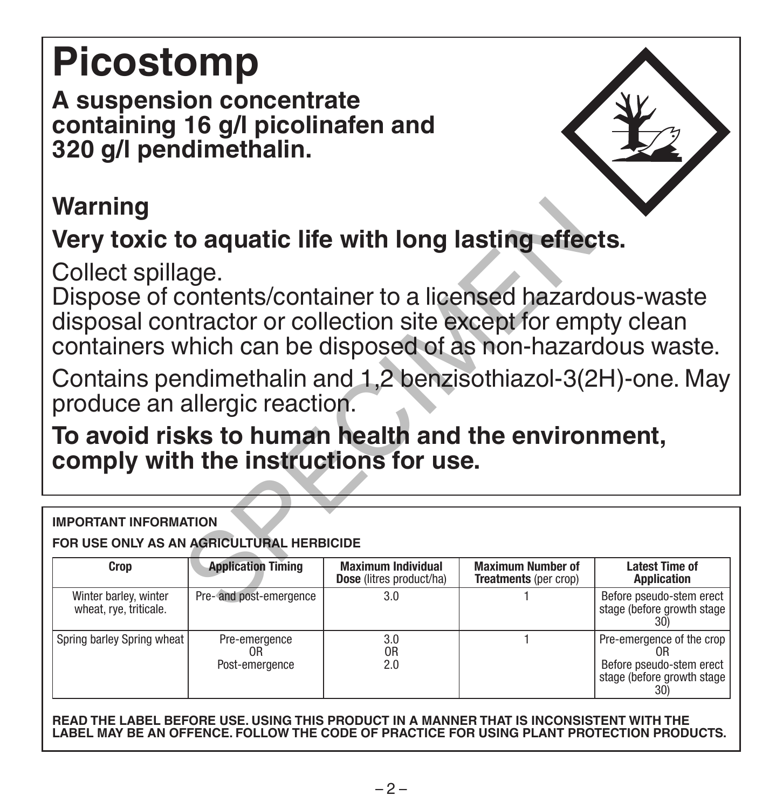# **Picostomp**

**A suspension concentrate containing 16 g/l picolinafen and 320 g/l pendimethalin.** 

## **Warning**

## **Very toxic to aquatic life with long lasting effects.**

| Warning                                                                                                                                                                                                          |                                       |                                                       |                                                          |                                                                                                               |  |  |
|------------------------------------------------------------------------------------------------------------------------------------------------------------------------------------------------------------------|---------------------------------------|-------------------------------------------------------|----------------------------------------------------------|---------------------------------------------------------------------------------------------------------------|--|--|
| Very toxic to aquatic life with long lasting effects.                                                                                                                                                            |                                       |                                                       |                                                          |                                                                                                               |  |  |
| Collect spillage.<br>Dispose of contents/container to a licensed hazardous-waste<br>disposal contractor or collection site except for empty clean<br>containers which can be disposed of as non-hazardous waste. |                                       |                                                       |                                                          |                                                                                                               |  |  |
| Contains pendimethalin and 1,2 benzisothiazol-3(2H)-one. May<br>produce an allergic reaction.                                                                                                                    |                                       |                                                       |                                                          |                                                                                                               |  |  |
| To avoid risks to human health and the environment,<br>comply with the instructions for use.                                                                                                                     |                                       |                                                       |                                                          |                                                                                                               |  |  |
|                                                                                                                                                                                                                  |                                       |                                                       |                                                          |                                                                                                               |  |  |
| <b>IMPORTANT INFORMATION</b><br>FOR USE ONLY AS AN AGRICULTURAL HERBICIDE                                                                                                                                        |                                       |                                                       |                                                          |                                                                                                               |  |  |
| Crop                                                                                                                                                                                                             | <b>Application Timing</b>             | <b>Maximum Individual</b><br>Dose (litres product/ha) | <b>Maximum Number of</b><br><b>Treatments</b> (per crop) | <b>Latest Time of</b><br>Application                                                                          |  |  |
| Winter barley, winter<br>wheat, rye, triticale.                                                                                                                                                                  | Pre-and post-emergence                | 3.0                                                   |                                                          | Before pseudo-stem erect<br>stage (before growth stage<br>30)                                                 |  |  |
| Spring barley Spring wheat                                                                                                                                                                                       | Pre-emergence<br>0R<br>Post-emergence | 3.0<br>0R<br>2.0                                      | 1                                                        | Pre-emergence of the crop<br>0 <sub>R</sub><br>Before pseudo-stem erect<br>stage (before growth stage)<br>30) |  |  |

**READ THE LABEL BEFORE USE. USING THIS PRODUCT IN A MANNER THAT IS INCONSISTENT WITH THE LABEL MAY BE AN OFFENCE. FOLLOW THE CODE OF PRACTICE FOR USING PLANT PROTECTION PRODUCTS.**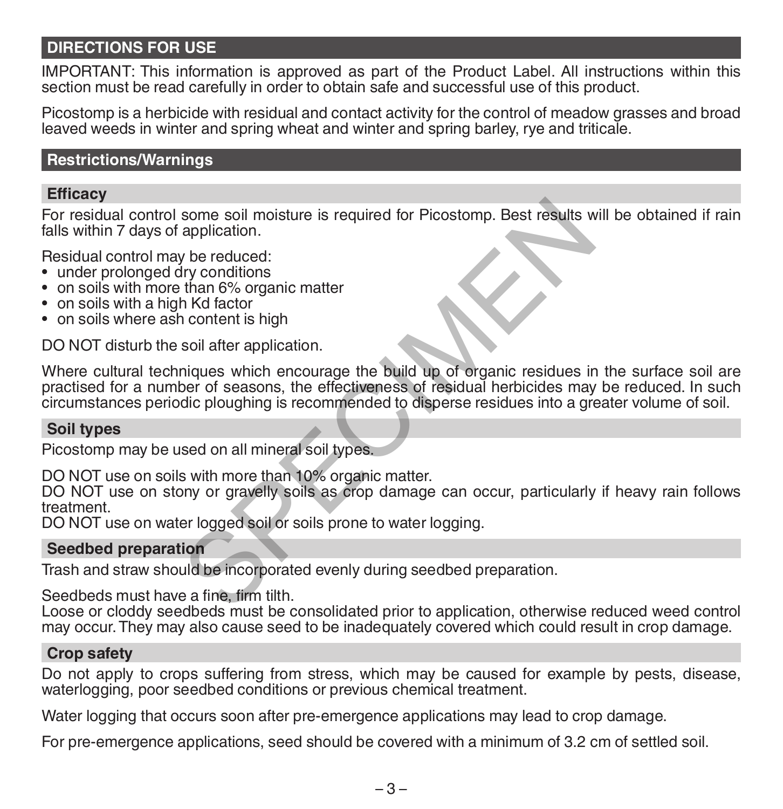### **DIRECTIONS FOR USE**

IMPORTANT: This information is approved as part of the Product Label. All instructions within this section must be read carefully in order to obtain safe and successful use of this product.

Picostomp is a herbicide with residual and contact activity for the control of meadow grasses and broad leaved weeds in winter and spring wheat and winter and spring barley, rye and triticale.

### **Restrictions/Warnings**

### **Efficacy**

For residual control some soil moisture is required for Picostomp. Best results will be obtained if rain falls within 7 days of application.

Residual control may be reduced:

- under prolonged dry conditions
- on soils with more than 6% organic matter
- on soils with a high Kd factor
- on soils where ash content is high

DO NOT disturb the soil after application.

Where cultural techniques which encourage the build up of organic residues in the surface soil are practised for a number of seasons, the effectiveness of residual herbicides may be reduced. In such circumstances periodic ploughing is recommended to disperse residues into a greater volume of soil. some soil moisture is required for Picostomp. Best results w<br>application.<br>the Mactor<br>and 6% organic matter<br>in Mactor<br>and 6% organic matter<br>in Content is high<br>soil after application.<br>miques which encourage the build up of o

### **Soil types**

Picostomp may be used on all mineral soil types.

DO NOT use on soils with more than 10% organic matter.

DO NOT use on stony or gravelly soils as crop damage can occur, particularly if heavy rain follows treatment.

DO NOT use on water logged soil or soils prone to water logging.

### **Seedbed preparation**

Trash and straw should be incorporated evenly during seedbed preparation.

Seedbeds must have a fine, firm tilth.

Loose or cloddy seedbeds must be consolidated prior to application, otherwise reduced weed control may occur. They may also cause seed to be inadequately covered which could result in crop damage.

### **Crop safety**

Do not apply to crops suffering from stress, which may be caused for example by pests, disease, waterlogging, poor seedbed conditions or previous chemical treatment.

Water logging that occurs soon after pre-emergence applications may lead to crop damage.

For pre-emergence applications, seed should be covered with a minimum of 3.2 cm of settled soil.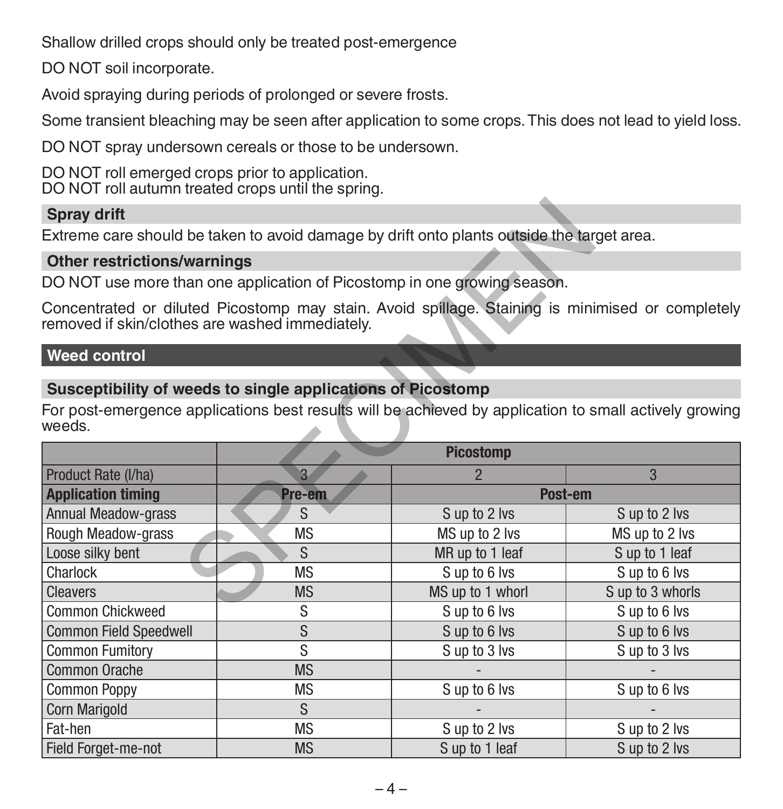Shallow drilled crops should only be treated post-emergence

DO NOT soil incorporate.

Avoid spraying during periods of prolonged or severe frosts.

Some transient bleaching may be seen after application to some crops. This does not lead to yield loss.

DO NOT spray undersown cereals or those to be undersown.

DO NOT roll emerged crops prior to application. DO NOT roll autumn treated crops until the spring.

### **Spray drift**

### **Other restrictions/warnings**

### **Weed control**

### **Susceptibility of weeds to single applications of Picostomp**

| <b>Spray drift</b>                                                                                                                                                              |                                                                          |                  |                  |  |  |
|---------------------------------------------------------------------------------------------------------------------------------------------------------------------------------|--------------------------------------------------------------------------|------------------|------------------|--|--|
| Extreme care should be taken to avoid damage by drift onto plants outside the target area.                                                                                      |                                                                          |                  |                  |  |  |
| <b>Other restrictions/warnings</b>                                                                                                                                              |                                                                          |                  |                  |  |  |
|                                                                                                                                                                                 | DO NOT use more than one application of Picostomp in one growing season. |                  |                  |  |  |
| Concentrated or diluted Picostomp may stain. Avoid spillage. Staining is minimised or completely<br>removed if skin/clothes are washed immediately.                             |                                                                          |                  |                  |  |  |
| <b>Weed control</b>                                                                                                                                                             |                                                                          |                  |                  |  |  |
| Susceptibility of weeds to single applications of Picostomp<br>For post-emergence applications best results will be achieved by application to small actively growing<br>weeds. |                                                                          |                  |                  |  |  |
|                                                                                                                                                                                 |                                                                          | <b>Picostomp</b> |                  |  |  |
| Product Rate (I/ha)                                                                                                                                                             | $\overline{3}$                                                           | $\overline{2}$   | 3                |  |  |
| <b>Application timing</b>                                                                                                                                                       | Pre-em                                                                   | Post-em          |                  |  |  |
| <b>Annual Meadow-grass</b>                                                                                                                                                      | S                                                                        | S up to 2 lvs    | S up to 2 lvs    |  |  |
| Rough Meadow-grass                                                                                                                                                              | <b>MS</b>                                                                | MS up to 2 lvs   | MS up to 2 lvs   |  |  |
| Loose silky bent                                                                                                                                                                | S.                                                                       | MR up to 1 leaf  | S up to 1 leaf   |  |  |
| Charlock                                                                                                                                                                        | <b>MS</b>                                                                | Sup to 6 lvs     | Sup to 6 lvs     |  |  |
| <b>Cleavers</b>                                                                                                                                                                 | <b>MS</b>                                                                | MS up to 1 whorl | S up to 3 whorls |  |  |
| <b>Common Chickweed</b>                                                                                                                                                         | S                                                                        | S up to 6 lvs    | S up to 6 lvs    |  |  |
| <b>Common Field Speedwell</b>                                                                                                                                                   | S                                                                        | Sup to 6 lvs     | Sup to 6 lvs     |  |  |
| <b>Common Fumitory</b>                                                                                                                                                          | S                                                                        | S up to 3 lvs    | S up to 3 lvs    |  |  |
| Common Orache                                                                                                                                                                   | <b>MS</b>                                                                |                  |                  |  |  |
| <b>Common Poppy</b>                                                                                                                                                             | <b>MS</b>                                                                | Sup to 6 lvs     | Sup to 6 lvs     |  |  |
| Corn Marigold                                                                                                                                                                   | S                                                                        |                  |                  |  |  |
| Fat-hen                                                                                                                                                                         | <b>MS</b>                                                                | S up to 2 lvs    | S up to 2 lvs    |  |  |
| Field Forget-me-not                                                                                                                                                             | <b>MS</b>                                                                | S up to 1 leaf   | S up to 2 lvs    |  |  |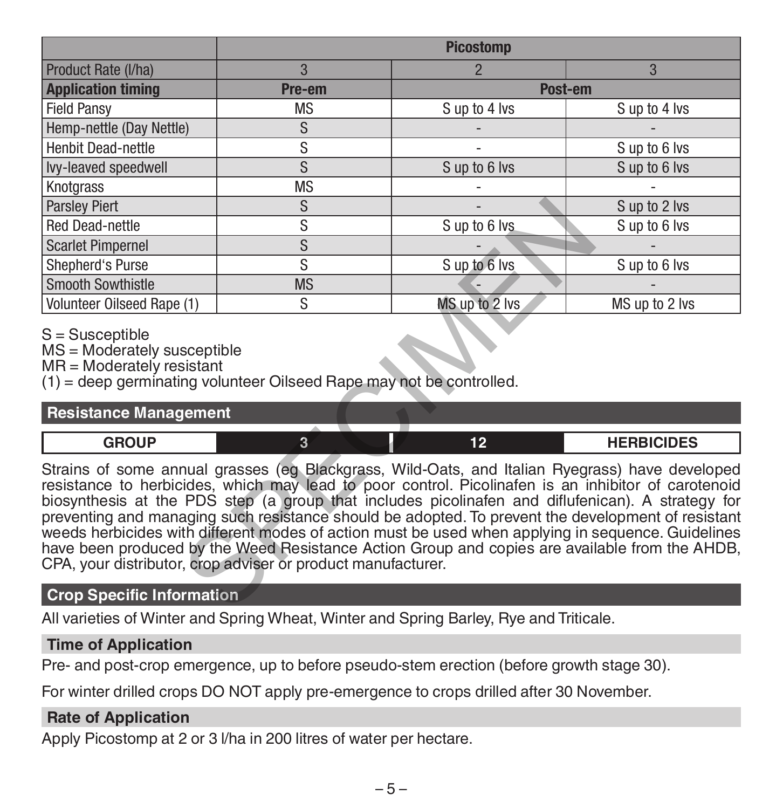|                                                                                                                                                                                                                                                                                                                                                                                                                                                                                                                                                                                                                                                                                          | <b>Picostomp</b> |                |                   |  |  |
|------------------------------------------------------------------------------------------------------------------------------------------------------------------------------------------------------------------------------------------------------------------------------------------------------------------------------------------------------------------------------------------------------------------------------------------------------------------------------------------------------------------------------------------------------------------------------------------------------------------------------------------------------------------------------------------|------------------|----------------|-------------------|--|--|
| Product Rate (I/ha)                                                                                                                                                                                                                                                                                                                                                                                                                                                                                                                                                                                                                                                                      | 3                | $\overline{2}$ | 3                 |  |  |
| <b>Application timing</b>                                                                                                                                                                                                                                                                                                                                                                                                                                                                                                                                                                                                                                                                | Pre-em           | Post-em        |                   |  |  |
| <b>Field Pansy</b>                                                                                                                                                                                                                                                                                                                                                                                                                                                                                                                                                                                                                                                                       | <b>MS</b>        | S up to 4 lvs  | S up to 4 lvs     |  |  |
| Hemp-nettle (Day Nettle)                                                                                                                                                                                                                                                                                                                                                                                                                                                                                                                                                                                                                                                                 | S                |                |                   |  |  |
| <b>Henbit Dead-nettle</b>                                                                                                                                                                                                                                                                                                                                                                                                                                                                                                                                                                                                                                                                | S                |                | Sup to 6 lvs      |  |  |
| Ivy-leaved speedwell                                                                                                                                                                                                                                                                                                                                                                                                                                                                                                                                                                                                                                                                     | S                | S up to 6 lvs  | Sup to 6 lvs      |  |  |
| Knotgrass                                                                                                                                                                                                                                                                                                                                                                                                                                                                                                                                                                                                                                                                                | <b>MS</b>        |                |                   |  |  |
| <b>Parsley Piert</b>                                                                                                                                                                                                                                                                                                                                                                                                                                                                                                                                                                                                                                                                     | S                |                | S up to 2 lvs     |  |  |
| <b>Red Dead-nettle</b>                                                                                                                                                                                                                                                                                                                                                                                                                                                                                                                                                                                                                                                                   | S                | S up to 6 lvs  | Sup to 6 lvs      |  |  |
| <b>Scarlet Pimpernel</b>                                                                                                                                                                                                                                                                                                                                                                                                                                                                                                                                                                                                                                                                 | $\overline{s}$   |                |                   |  |  |
| Shepherd's Purse                                                                                                                                                                                                                                                                                                                                                                                                                                                                                                                                                                                                                                                                         | S                | Sup to 6 lvs   | Sup to 6 lvs      |  |  |
| Smooth Sowthistle                                                                                                                                                                                                                                                                                                                                                                                                                                                                                                                                                                                                                                                                        | <b>MS</b>        |                |                   |  |  |
| Volunteer Oilseed Rape (1)                                                                                                                                                                                                                                                                                                                                                                                                                                                                                                                                                                                                                                                               | S.               | MS up to 2 lvs | MS up to 2 lvs    |  |  |
| $S =$ Susceptible<br>MS = Moderately susceptible<br>MR = Moderately resistant<br>$(1)$ = deep germinating volunteer Oilseed Rape may not be controlled.                                                                                                                                                                                                                                                                                                                                                                                                                                                                                                                                  |                  |                |                   |  |  |
| <b>Resistance Management</b>                                                                                                                                                                                                                                                                                                                                                                                                                                                                                                                                                                                                                                                             |                  |                |                   |  |  |
| <b>GROUP</b>                                                                                                                                                                                                                                                                                                                                                                                                                                                                                                                                                                                                                                                                             | $\overline{3}$   | 12             | <b>HERBICIDES</b> |  |  |
| Strains of some annual grasses (eg Blackgrass, Wild-Oats, and Italian Ryegrass) have developed<br>resistance to herbicides, which may lead to poor control. Picolinafen is an inhibitor of carotenoid<br>biosynthesis at the PDS step (a group that includes picolinafen and diflufenican). A strategy for<br>preventing and managing such resistance should be adopted. To prevent the development of resistant<br>weeds herbicides with different modes of action must be used when applying in sequence. Guidelines<br>have been produced by the Weed Resistance Action Group and copies are available from the AHDB,<br>CPA, your distributor, crop adviser or product manufacturer. |                  |                |                   |  |  |
| <b>Crop Specific Information</b>                                                                                                                                                                                                                                                                                                                                                                                                                                                                                                                                                                                                                                                         |                  |                |                   |  |  |

### S = Susceptible

### **Resistance Management**

| 50010<br>$\sim$ $\sim$ | $\sim$ | <b>UEDDICIDEC</b><br>70 L.J<br>. |
|------------------------|--------|----------------------------------|
|                        |        |                                  |

### **Crop Specific Information**

All varieties of Winter and Spring Wheat, Winter and Spring Barley, Rye and Triticale.

### **Time of Application**

Pre- and post-crop emergence, up to before pseudo-stem erection (before growth stage 30).

For winter drilled crops DO NOT apply pre-emergence to crops drilled after 30 November.

### **Rate of Application**

Apply Picostomp at 2 or 3 l/ha in 200 litres of water per hectare.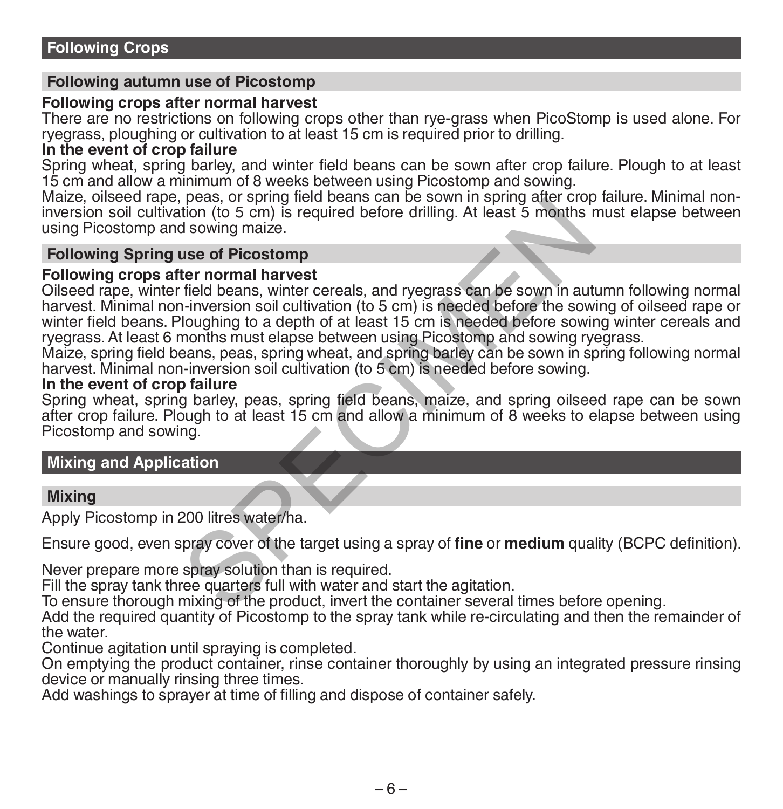### **Following autumn use of Picostomp**

### **Following crops after normal harvest**

There are no restrictions on following crops other than rye-grass when PicoStomp is used alone. For ryegrass, ploughing or cultivation to at least 15 cm is required prior to drilling.

### **In the event of crop failure**

Spring wheat, spring barley, and winter field beans can be sown after crop failure. Plough to at least 15 cm and allow a minimum of 8 weeks between using Picostomp and sowing.

Maize, oilseed rape, peas, or spring field beans can be sown in spring after crop failure. Minimal noninversion soil cultivation (to 5 cm) is required before drilling. At least 5 months must elapse between using Picostomp and sowing maize.

### **Following Spring use of Picostomp**

### **Following crops after normal harvest**

Oilseed rape, winter field beans, winter cereals, and ryegrass can be sown in autumn following normal harvest. Minimal non-inversion soil cultivation (to 5 cm) is needed before the sowing of oilseed rape or winter field beans. Ploughing to a depth of at least 15 cm is needed before sowing winter cereals and ryegrass. At least 6 months must elapse between using Picostomp and sowing ryegrass. peas, or spring lielu beats can be sown in spiring alter clop<br>tion (to 5 cm) is required before drilling. At least 5 months r<br>d sowing maize.<br>the of Picostomp<br>ter normal harvest<br>field beans, winter cereals, and ryegrass ca

Maize, spring field beans, peas, spring wheat, and spring barley can be sown in spring following normal harvest. Minimal non-inversion soil cultivation (to 5 cm) is needed before sowing.

### **In the event of crop failure**

Spring wheat, spring barley, peas, spring field beans, maize, and spring oilseed rape can be sown after crop failure. Plough to at least 15 cm and allow a minimum of 8 weeks to elapse between using Picostomp and sowing.

### **Mixing and Application**

### **Mixing**

Apply Picostomp in 200 litres water/ha.

Ensure good, even spray cover of the target using a spray of **fine** or **medium** quality (BCPC definition).

Never prepare more spray solution than is required.

Fill the spray tank three quarters full with water and start the agitation.

To ensure thorough mixing of the product, invert the container several times before opening.

Add the required quantity of Picostomp to the spray tank while re-circulating and then the remainder of the water.

Continue agitation until spraying is completed.

On emptying the product container, rinse container thoroughly by using an integrated pressure rinsing device or manually rinsing three times.

Add washings to sprayer at time of filling and dispose of container safely.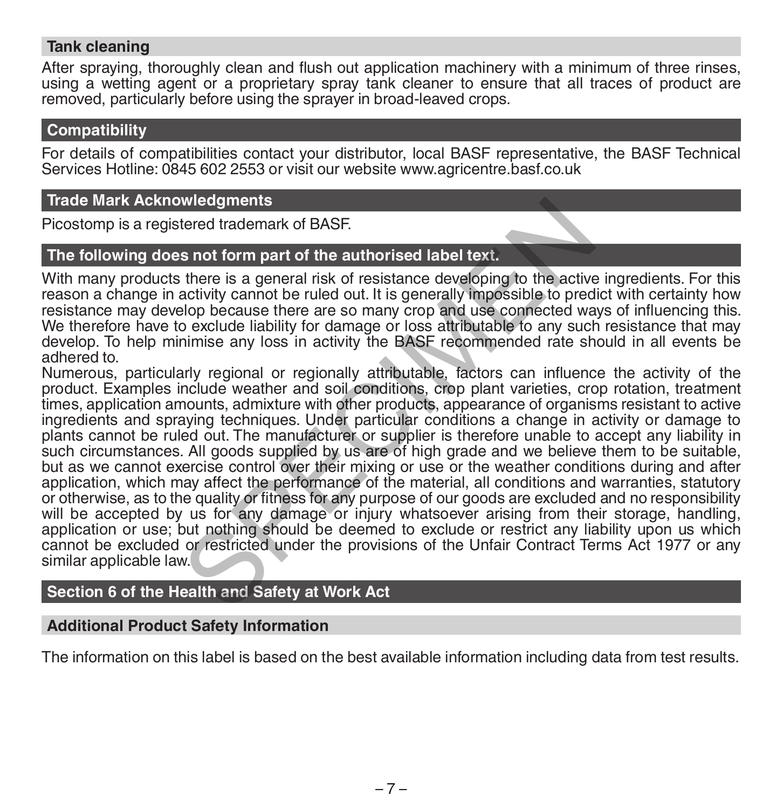### **Tank cleaning**

After spraying, thoroughly clean and flush out application machinery with a minimum of three rinses, using a wetting agent or a proprietary spray tank cleaner to ensure that all traces of product are removed, particularly before using the sprayer in broad-leaved crops.

### **Compatibility**

For details of compatibilities contact your distributor, local BASF representative, the BASF Technical Services Hotline: 0845 602 2553 or visit our website www.agricentre.basf.co.uk

### **Trade Mark Acknowledgments**

Picostomp is a registered trademark of BASF.

### **The following does not form part of the authorised label text.**

With many products there is a general risk of resistance developing to the active ingredients. For this reason a change in activity cannot be ruled out. It is generally impossible to predict with certainty how resistance may develop because there are so many crop and use connected ways of influencing this. We therefore have to exclude liability for damage or loss attributable to any such resistance that may develop. To help minimise any loss in activity the BASF recommended rate should in all events be adhered to.

Numerous, particularly regional or regionally attributable, factors can influence the activity of the product. Examples include weather and soil conditions, crop plant varieties, crop rotation, treatment times, application amounts, admixture with other products, appearance of organisms resistant to active ingredients and spraying techniques. Under particular conditions a change in activity or damage to plants cannot be ruled out. The manufacturer or supplier is therefore unable to accept any liability in such circumstances. All goods supplied by us are of high grade and we believe them to be suitable, but as we cannot exercise control over their mixing or use or the weather conditions during and after application, which may affect the performance of the material, all conditions and warranties, statutory or otherwise, as to the quality or fitness for any purpose of our goods are excluded and no responsibility will be accepted by us for any damage or injury whatsoever arising from their storage, handling, application or use; but nothing should be deemed to exclude or restrict any liability upon us which cannot be excluded or restricted under the provisions of the Unfair Contract Terms Act 1977 or any similar applicable law. wledgments<br>stered trademark of BASF.<br>s not form part of the authorised label text.<br>there is a general risk of resistance developing to the active<br>activity cannot be ruled out. It is generally impossible to pred<br>o exclude l

### **Section 6 of the Health and Safety at Work Act**

### **Additional Product Safety Information**

The information on this label is based on the best available information including data from test results.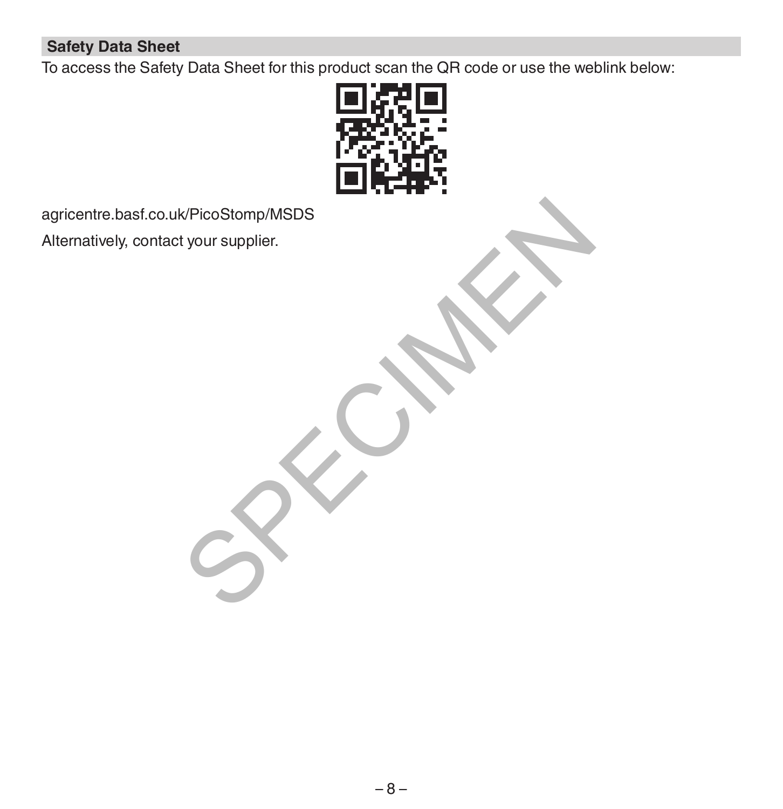### **Safety Data Sheet**

To access the Safety Data Sheet for this product scan the QR code or use the weblink below:



agricentre.basf.co.uk/PicoStomp/MSDS Alternatively, contact your supplier. K/PicoStomp/MSDS<br>tyour supplier.